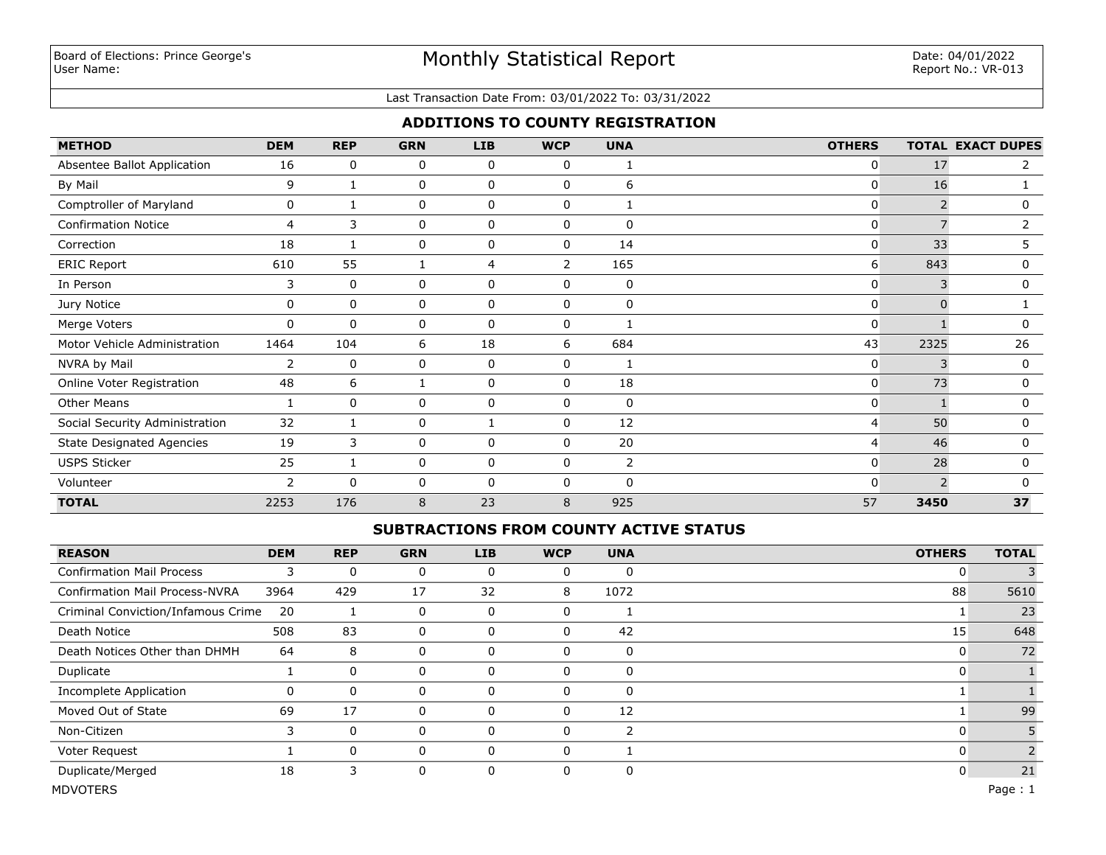# Monthly Statistical Report

#### Last Transaction Date From: 03/01/2022 To: 03/31/2022

### **ADDITIONS TO COUNTY REGISTRATION**

| <b>METHOD</b>                    | <b>DEM</b> | <b>REP</b>   | <b>GRN</b> | <b>LIB</b>  | <b>WCP</b>     | <b>UNA</b>  | <b>OTHERS</b> |          | <b>TOTAL EXACT DUPES</b> |
|----------------------------------|------------|--------------|------------|-------------|----------------|-------------|---------------|----------|--------------------------|
| Absentee Ballot Application      | 16         | 0            | 0          | 0           | $\mathbf{0}$   | 1           | 0             | 17       | 2                        |
| By Mail                          | 9          | 1            | 0          | 0           | 0              | 6           | 0             | 16       |                          |
| Comptroller of Maryland          | 0          |              | 0          | $\mathbf 0$ | $\mathbf 0$    | 1           | 0             |          | 0                        |
| <b>Confirmation Notice</b>       | 4          | 3            | 0          | 0           | 0              | $\mathbf 0$ | 0             |          | 2                        |
| Correction                       | 18         |              | 0          | 0           | 0              | 14          | 0             | 33       | 5                        |
| <b>ERIC Report</b>               | 610        | 55           |            | 4           | $\overline{2}$ | 165         | 6             | 843      | 0                        |
| In Person                        | 3          | 0            | 0          | 0           | 0              | 0           | 0             | 3        | 0                        |
| Jury Notice                      | 0          | 0            | 0          | 0           | 0              | 0           | 0             | $\Omega$ |                          |
| Merge Voters                     | 0          | 0            | 0          | 0           | 0              | 1           | 0             |          | 0                        |
| Motor Vehicle Administration     | 1464       | 104          | 6          | 18          | 6              | 684         | 43            | 2325     | 26                       |
| NVRA by Mail                     | 2          | 0            | 0          | 0           | 0              |             | 0             | 3        | 0                        |
| Online Voter Registration        | 48         | 6            |            | 0           | $\mathbf{0}$   | 18          | 0             | 73       | 0                        |
| Other Means                      |            | $\mathbf{0}$ | 0          | 0           | 0              | 0           | 0             |          | 0                        |
| Social Security Administration   | 32         |              | 0          |             | $\mathbf{0}$   | 12          | 4             | 50       | 0                        |
| <b>State Designated Agencies</b> | 19         | 3            | 0          | 0           | $\mathbf{0}$   | 20          | 4             | 46       | 0                        |
| <b>USPS Sticker</b>              | 25         |              | 0          | 0           | $\mathbf{0}$   | 2           | 0             | 28       | 0                        |
| Volunteer                        | 2          | $\Omega$     | 0          | $\Omega$    | $\mathbf{0}$   | $\Omega$    | 0             | C.       | 0                        |
| <b>TOTAL</b>                     | 2253       | 176          | 8          | 23          | 8              | 925         | 57            | 3450     | 37                       |

#### **SUBTRACTIONS FROM COUNTY ACTIVE STATUS**

| <b>REASON</b>                         | <b>DEM</b> | <b>REP</b>   | <b>GRN</b>     | LIB | <b>WCP</b>  | <b>UNA</b> | <b>OTHERS</b> | <b>TOTAL</b> |
|---------------------------------------|------------|--------------|----------------|-----|-------------|------------|---------------|--------------|
| <b>Confirmation Mail Process</b>      | 3          | 0            | 0              | 0   | 0           | 0          | 0             |              |
| <b>Confirmation Mail Process-NVRA</b> | 3964       | 429          | 17             | 32  | 8           | 1072       | 88            | 5610         |
| Criminal Conviction/Infamous Crime    | 20         |              | $\overline{0}$ | 0   | 0           |            |               | 23           |
| Death Notice                          | 508        | 83           | 0              | 0   | 0           | 42         | 15            | 648          |
| Death Notices Other than DHMH         | 64         | 8            | $\overline{0}$ | 0   | 0           | 0          | 0             | 72           |
| Duplicate                             |            | $\mathbf 0$  | $\overline{0}$ | 0   | 0           | 0          | 0             |              |
| Incomplete Application                | 0          | $\mathbf{0}$ | 0              | 0   | 0           | 0          |               |              |
| Moved Out of State                    | 69         | 17           | 0              | 0   | $\Omega$    | 12         |               | 99           |
| Non-Citizen                           | 3          | $\mathbf{0}$ | 0              | 0   | $\mathbf 0$ | 2          | 0             |              |
| Voter Request                         |            | $\mathbf{0}$ | 0              | 0   | 0           |            | 0             |              |
| Duplicate/Merged                      | 18         | 3            | 0              | 0   | $\mathbf 0$ | 0          | 0             | 21           |
| <b>MDVOTERS</b>                       |            |              |                |     |             |            |               | Page: $1$    |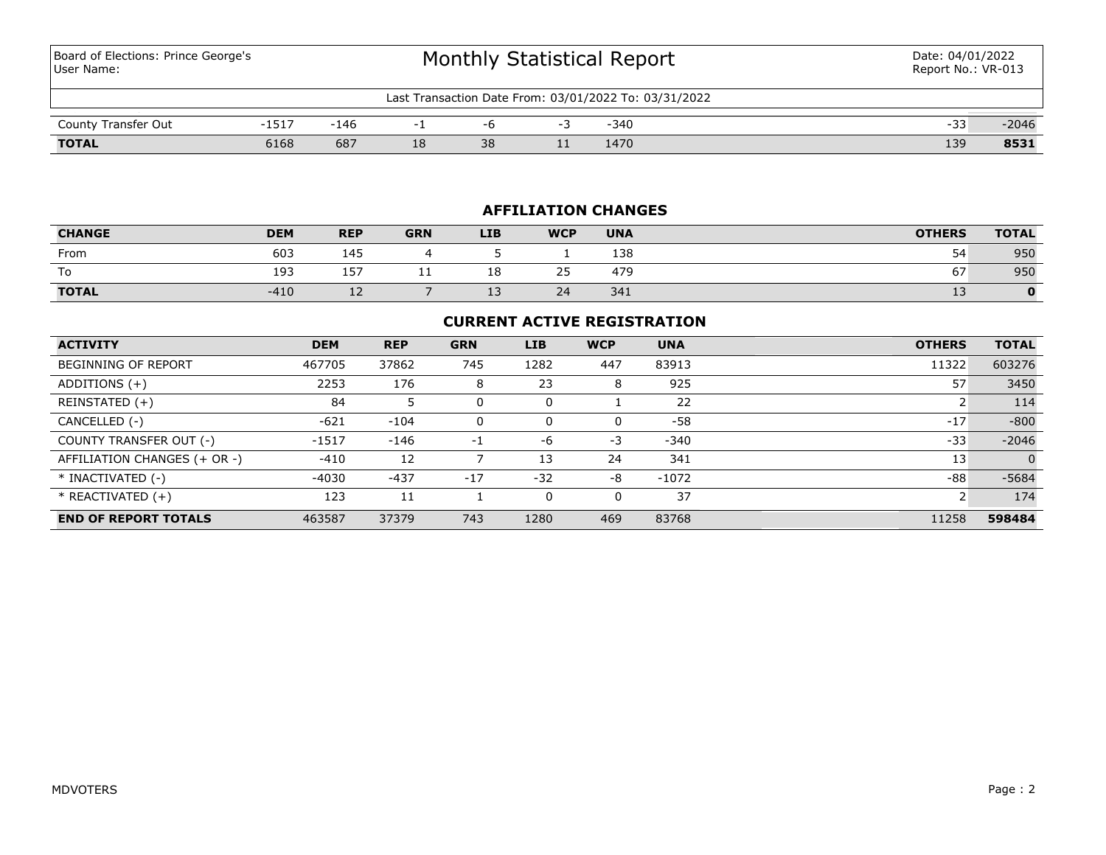Board of Elections: Prince George's User Name:

| Last Transaction Date From: 03/01/2022 To: 03/31/2022 |      |      |    |    |     |      |     |         |  |  |  |  |  |
|-------------------------------------------------------|------|------|----|----|-----|------|-----|---------|--|--|--|--|--|
| County Transfer Out                                   |      | -146 |    |    |     | -340 | -33 | $-2046$ |  |  |  |  |  |
| <b>TOTAL</b>                                          | 6168 | 687  | 18 | 38 | . . | 1470 | 139 | 8531    |  |  |  |  |  |

# **AFFILIATION CHANGES**

| <b>CHANGE</b> | <b>DEM</b> | <b>REP</b> | <b>GRN</b> | <b>LIB</b> | <b>WCP</b>                 | <b>UNA</b> | <b>OTHERS</b> | <b>TOTAL</b> |
|---------------|------------|------------|------------|------------|----------------------------|------------|---------------|--------------|
| From          | 603        | 145        |            |            |                            | 138        | 54            | 950          |
| To            | 193        | 157        | . .        | 18         | $\sim$ $\sim$<br>,,<br>ر ے | 479        | --<br>67      | 950          |
| <b>TOTAL</b>  | $-410$     | <u>_ _</u> |            | --         | 24                         | 341        | --            |              |

# **CURRENT ACTIVE REGISTRATION**

| <b>ACTIVITY</b>              | <b>DEM</b> | <b>REP</b> | <b>GRN</b> | <b>LIB</b> | <b>WCP</b> | <b>UNA</b> | <b>OTHERS</b> | <b>TOTAL</b> |
|------------------------------|------------|------------|------------|------------|------------|------------|---------------|--------------|
| BEGINNING OF REPORT          | 467705     | 37862      | 745        | 1282       | 447        | 83913      | 11322         | 603276       |
| ADDITIONS $(+)$              | 2253       | 176        | 8          | 23         | 8          | 925        | 57            | 3450         |
| REINSTATED (+)               | 84         | 5          |            | 0          |            | 22         |               | 114          |
| CANCELLED (-)                | $-621$     | $-104$     | 0          | 0          | 0          | $-58$      | $-17$         | $-800$       |
| COUNTY TRANSFER OUT (-)      | $-1517$    | $-146$     | -1         | -6         | $-3$       | $-340$     | $-33$         | $-2046$      |
| AFFILIATION CHANGES (+ OR -) | $-410$     | 12         |            | 13         | 24         | 341        | 13            | $\Omega$     |
| * INACTIVATED (-)            | $-4030$    | $-437$     | $-17$      | $-32$      | -8         | $-1072$    | $-88$         | $-5684$      |
| $*$ REACTIVATED $(+)$        | 123        | 11         |            | 0          | 0          | 37         | ∍             | 174          |
| <b>END OF REPORT TOTALS</b>  | 463587     | 37379      | 743        | 1280       | 469        | 83768      | 11258         | 598484       |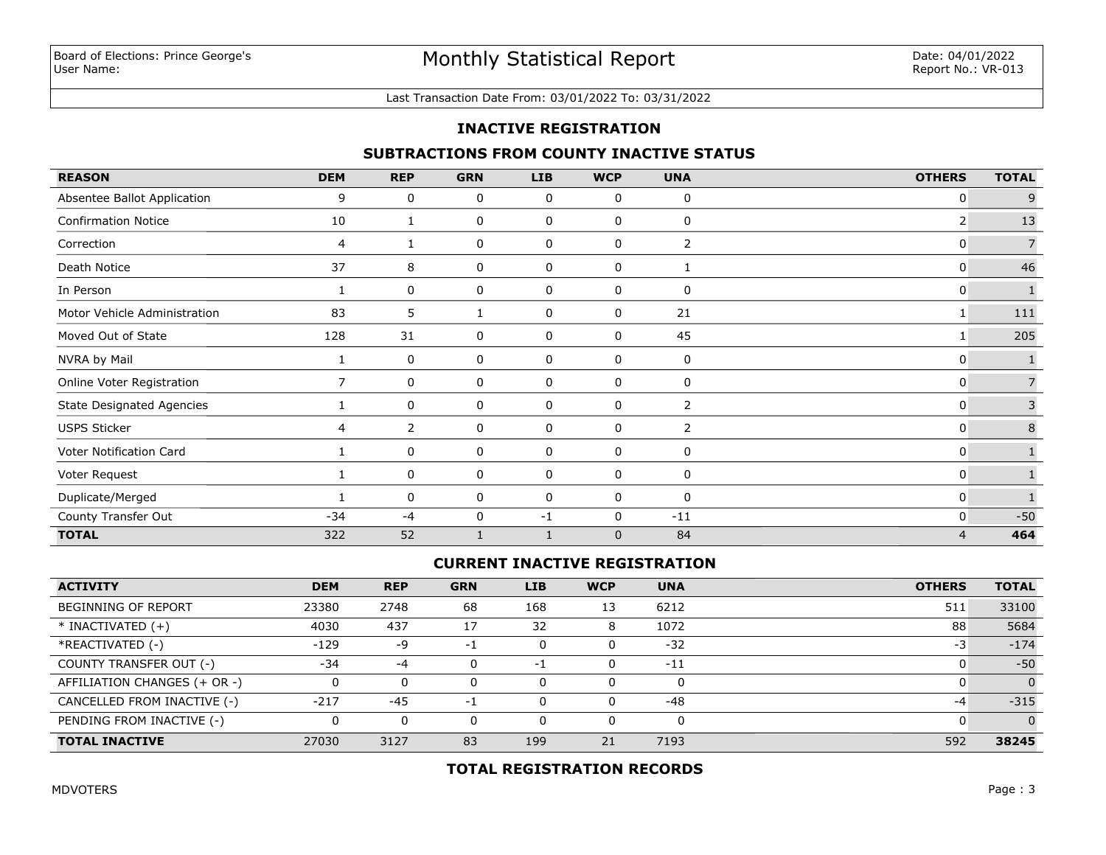#### Last Transaction Date From: 03/01/2022 To: 03/31/2022

#### **INACTIVE REGISTRATION**

# **SUBTRACTIONS FROM COUNTY INACTIVE STATUS**

| <b>REASON</b>                    | <b>DEM</b> | <b>REP</b>  | <b>GRN</b>   | <b>LIB</b>  | <b>WCP</b>  | <b>UNA</b>     | <b>OTHERS</b>  | <b>TOTAL</b>   |
|----------------------------------|------------|-------------|--------------|-------------|-------------|----------------|----------------|----------------|
| Absentee Ballot Application      | 9          | 0           | 0            | 0           | 0           | 0              | 0              | 9              |
| <b>Confirmation Notice</b>       | 10         | 1           | 0            | 0           | 0           | 0              | 2              | 13             |
| Correction                       | 4          |             | 0            | 0           | 0           | $\overline{2}$ | 0              | $\overline{7}$ |
| Death Notice                     | 37         | 8           | 0            | 0           | 0           |                | 0              | 46             |
| In Person                        |            | 0           | 0            | $\mathbf 0$ | 0           | $\mathbf 0$    | 0              | $\mathbf{1}$   |
| Motor Vehicle Administration     | 83         | 5           | 1            | 0           | 0           | 21             |                | 111            |
| Moved Out of State               | 128        | 31          | 0            | 0           | 0           | 45             |                | 205            |
| NVRA by Mail                     |            | 0           | 0            | 0           | 0           | 0              | 0              |                |
| Online Voter Registration        | 7          | 0           | 0            | 0           | 0           | 0              | 0              | $\overline{7}$ |
| <b>State Designated Agencies</b> |            | 0           | 0            | 0           | 0           | 2              | 0              | 3              |
| <b>USPS Sticker</b>              | 4          | 2           | 0            | 0           | $\pmb{0}$   | $\overline{2}$ | 0              | $\bf 8$        |
| Voter Notification Card          |            | $\mathbf 0$ | 0            | $\mathbf 0$ | $\mathbf 0$ | $\mathbf 0$    | 0              |                |
| Voter Request                    |            | 0           | 0            | 0           | 0           | 0              | 0              |                |
| Duplicate/Merged                 |            | 0           | 0            | 0           | 0           | 0              | 0              |                |
| County Transfer Out              | $-34$      | $-4$        | 0            | $-1$        | $\mathbf 0$ | $-11$          | $\mathbf{0}$   | $-50$          |
| <b>TOTAL</b>                     | 322        | 52          | $\mathbf{1}$ |             | $\mathbf 0$ | 84             | $\overline{4}$ | 464            |

# **CURRENT INACTIVE REGISTRATION**

| <b>ACTIVITY</b>              | <b>DEM</b> | <b>REP</b> | <b>GRN</b> | <b>LIB</b> | <b>WCP</b> | <b>UNA</b> | <b>OTHERS</b> | <b>TOTAL</b> |
|------------------------------|------------|------------|------------|------------|------------|------------|---------------|--------------|
| <b>BEGINNING OF REPORT</b>   | 23380      | 2748       | 68         | 168        | 13         | 6212       | 511           | 33100        |
| $*$ INACTIVATED $(+)$        | 4030       | 437        | 17         | 32         | 8          | 1072       | 88            | 5684         |
| *REACTIVATED (-)             | $-129$     | -9         | нī         |            | 0          | $-32$      | -3            | $-174$       |
| COUNTY TRANSFER OUT (-)      | $-34$      | -4         |            | $-1$       | 0          | $-11$      |               | $-50$        |
| AFFILIATION CHANGES (+ OR -) |            | 0          |            |            | 0          | O          |               |              |
| CANCELLED FROM INACTIVE (-)  | $-217$     | $-45$      | - 1        |            | 0          | -48        | -4            | $-315$       |
| PENDING FROM INACTIVE (-)    |            | 0          |            |            | 0          | 0          |               |              |
| <b>TOTAL INACTIVE</b>        | 27030      | 3127       | 83         | 199        | 21         | 7193       | 592           | 38245        |

# **TOTAL REGISTRATION RECORDS**